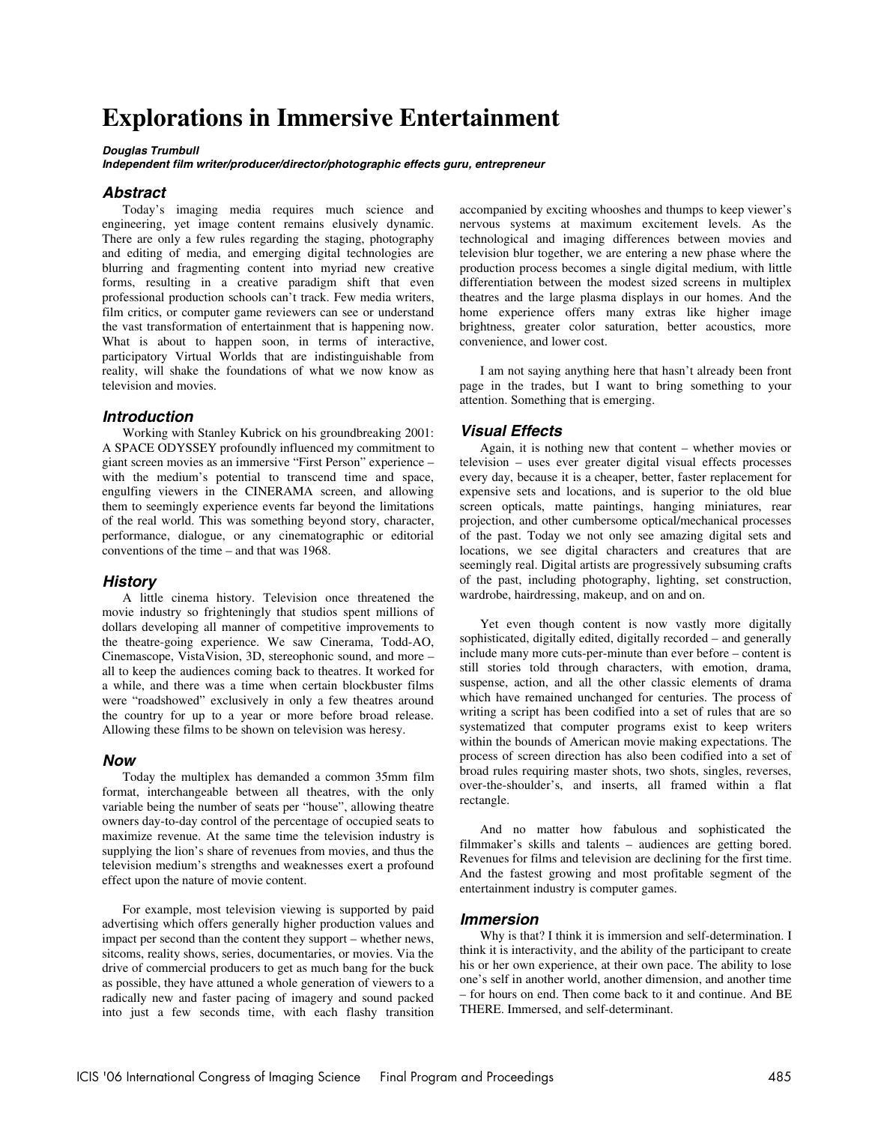# **Explorations in Immersive Entertainment**

#### **Douglas Trumbull**

**Independent film writer/producer/director/photographic effects guru, entrepreneur** 

### **Abstract**

Today's imaging media requires much science and engineering, yet image content remains elusively dynamic. There are only a few rules regarding the staging, photography and editing of media, and emerging digital technologies are blurring and fragmenting content into myriad new creative forms, resulting in a creative paradigm shift that even professional production schools can't track. Few media writers, film critics, or computer game reviewers can see or understand the vast transformation of entertainment that is happening now. What is about to happen soon, in terms of interactive, participatory Virtual Worlds that are indistinguishable from reality, will shake the foundations of what we now know as television and movies.

#### **Introduction**

Working with Stanley Kubrick on his groundbreaking 2001: A SPACE ODYSSEY profoundly influenced my commitment to giant screen movies as an immersive "First Person" experience – with the medium's potential to transcend time and space, engulfing viewers in the CINERAMA screen, and allowing them to seemingly experience events far beyond the limitations of the real world. This was something beyond story, character, performance, dialogue, or any cinematographic or editorial conventions of the time – and that was 1968.

#### **History**

A little cinema history. Television once threatened the movie industry so frighteningly that studios spent millions of dollars developing all manner of competitive improvements to the theatre-going experience. We saw Cinerama, Todd-AO, Cinemascope, VistaVision, 3D, stereophonic sound, and more – all to keep the audiences coming back to theatres. It worked for a while, and there was a time when certain blockbuster films were "roadshowed" exclusively in only a few theatres around the country for up to a year or more before broad release. Allowing these films to be shown on television was heresy.

#### **Now**

Today the multiplex has demanded a common 35mm film format, interchangeable between all theatres, with the only variable being the number of seats per "house", allowing theatre owners day-to-day control of the percentage of occupied seats to maximize revenue. At the same time the television industry is supplying the lion's share of revenues from movies, and thus the television medium's strengths and weaknesses exert a profound effect upon the nature of movie content.

For example, most television viewing is supported by paid advertising which offers generally higher production values and impact per second than the content they support – whether news, sitcoms, reality shows, series, documentaries, or movies. Via the drive of commercial producers to get as much bang for the buck as possible, they have attuned a whole generation of viewers to a radically new and faster pacing of imagery and sound packed into just a few seconds time, with each flashy transition

accompanied by exciting whooshes and thumps to keep viewer's nervous systems at maximum excitement levels. As the technological and imaging differences between movies and television blur together, we are entering a new phase where the production process becomes a single digital medium, with little differentiation between the modest sized screens in multiplex theatres and the large plasma displays in our homes. And the home experience offers many extras like higher image brightness, greater color saturation, better acoustics, more convenience, and lower cost.

I am not saying anything here that hasn't already been front page in the trades, but I want to bring something to your attention. Something that is emerging.

#### **Visual Effects**

Again, it is nothing new that content – whether movies or television – uses ever greater digital visual effects processes every day, because it is a cheaper, better, faster replacement for expensive sets and locations, and is superior to the old blue screen opticals, matte paintings, hanging miniatures, rear projection, and other cumbersome optical/mechanical processes of the past. Today we not only see amazing digital sets and locations, we see digital characters and creatures that are seemingly real. Digital artists are progressively subsuming crafts of the past, including photography, lighting, set construction, wardrobe, hairdressing, makeup, and on and on.

Yet even though content is now vastly more digitally sophisticated, digitally edited, digitally recorded – and generally include many more cuts-per-minute than ever before – content is still stories told through characters, with emotion, drama, suspense, action, and all the other classic elements of drama which have remained unchanged for centuries. The process of writing a script has been codified into a set of rules that are so systematized that computer programs exist to keep writers within the bounds of American movie making expectations. The process of screen direction has also been codified into a set of broad rules requiring master shots, two shots, singles, reverses, over-the-shoulder's, and inserts, all framed within a flat rectangle.

And no matter how fabulous and sophisticated the filmmaker's skills and talents – audiences are getting bored. Revenues for films and television are declining for the first time. And the fastest growing and most profitable segment of the entertainment industry is computer games.

#### **Immersion**

Why is that? I think it is immersion and self-determination. I think it is interactivity, and the ability of the participant to create his or her own experience, at their own pace. The ability to lose one's self in another world, another dimension, and another time – for hours on end. Then come back to it and continue. And BE THERE. Immersed, and self-determinant.